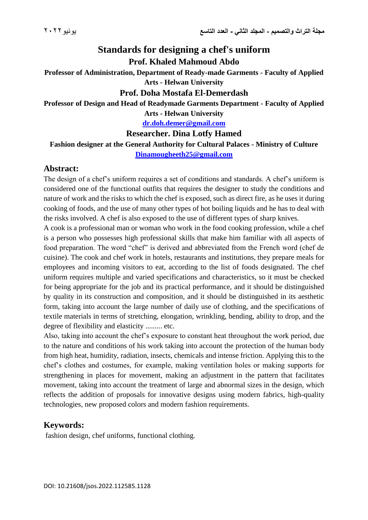# **Standards for designing a chef's uniform Prof. Khaled Mahmoud Abdo**

**Professor of Administration, Department of Ready-made Garments - Faculty of Applied Arts - Helwan University**

#### **Prof. Doha Mostafa El-Demerdash**

# **Professor of Design and Head of Readymade Garments Department - Faculty of Applied**

**Arts - Helwan University**

**[dr.doh.demer@gmail.com](mailto:dr.doh.demer@gmail.com)**

#### **Researcher. Dina Lotfy Hamed**

**Fashion designer at the General Authority for Cultural Palaces - Ministry of Culture [Dinamougheeth25@gmail.com](mailto:Dinamougheeth25@gmail.com)**

#### **Abstract:**

The design of a chef's uniform requires a set of conditions and standards. A chef's uniform is considered one of the functional outfits that requires the designer to study the conditions and nature of work and the risks to which the chef is exposed, such as direct fire, as he uses it during cooking of foods, and the use of many other types of hot boiling liquids and he has to deal with the risks involved. A chef is also exposed to the use of different types of sharp knives.

A cook is a professional man or woman who work in the food cooking profession, while a chef is a person who possesses high professional skills that make him familiar with all aspects of food preparation. The word "chef" is derived and abbreviated from the French word (chef de cuisine). The cook and chef work in hotels, restaurants and institutions, they prepare meals for employees and incoming visitors to eat, according to the list of foods designated. The chef uniform requires multiple and varied specifications and characteristics, so it must be checked for being appropriate for the job and its practical performance, and it should be distinguished by quality in its construction and composition, and it should be distinguished in its aesthetic form, taking into account the large number of daily use of clothing, and the specifications of textile materials in terms of stretching, elongation, wrinkling, bending, ability to drop, and the degree of flexibility and elasticity ......... etc.

Also, taking into account the chef's exposure to constant heat throughout the work period, due to the nature and conditions of his work taking into account the protection of the human body from high heat, humidity, radiation, insects, chemicals and intense friction. Applying this to the chef's clothes and costumes, for example, making ventilation holes or making supports for strengthening in places for movement, making an adjustment in the pattern that facilitates movement, taking into account the treatment of large and abnormal sizes in the design, which reflects the addition of proposals for innovative designs using modern fabrics, high-quality technologies, new proposed colors and modern fashion requirements.

#### **Keywords:**

fashion design, chef uniforms, functional clothing.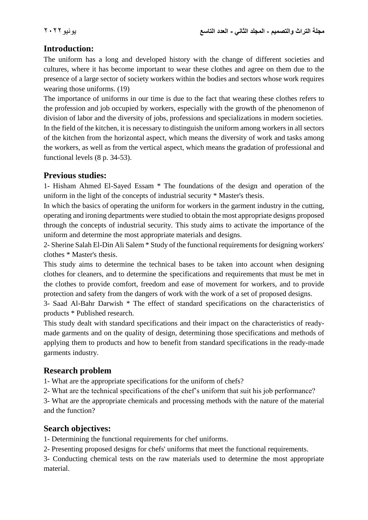# **Introduction:**

The uniform has a long and developed history with the change of different societies and cultures, where it has become important to wear these clothes and agree on them due to the presence of a large sector of society workers within the bodies and sectors whose work requires wearing those uniforms. (19)

The importance of uniforms in our time is due to the fact that wearing these clothes refers to the profession and job occupied by workers, especially with the growth of the phenomenon of division of labor and the diversity of jobs, professions and specializations in modern societies. In the field of the kitchen, it is necessary to distinguish the uniform among workers in all sectors of the kitchen from the horizontal aspect, which means the diversity of work and tasks among the workers, as well as from the vertical aspect, which means the gradation of professional and functional levels (8 p. 34-53).

#### **Previous studies:**

1- Hisham Ahmed El-Sayed Essam \* The foundations of the design and operation of the uniform in the light of the concepts of industrial security \* Master's thesis.

In which the basics of operating the uniform for workers in the garment industry in the cutting, operating and ironing departments were studied to obtain the most appropriate designs proposed through the concepts of industrial security. This study aims to activate the importance of the uniform and determine the most appropriate materials and designs.

2- Sherine Salah El-Din Ali Salem \* Study of the functional requirements for designing workers' clothes \* Master's thesis.

This study aims to determine the technical bases to be taken into account when designing clothes for cleaners, and to determine the specifications and requirements that must be met in the clothes to provide comfort, freedom and ease of movement for workers, and to provide protection and safety from the dangers of work with the work of a set of proposed designs.

3- Saad Al-Bahr Darwish \* The effect of standard specifications on the characteristics of products \* Published research.

This study dealt with standard specifications and their impact on the characteristics of readymade garments and on the quality of design, determining those specifications and methods of applying them to products and how to benefit from standard specifications in the ready-made garments industry.

# **Research problem**

1- What are the appropriate specifications for the uniform of chefs?

2- What are the technical specifications of the chef's uniform that suit his job performance?

3- What are the appropriate chemicals and processing methods with the nature of the material and the function?

# **Search objectives:**

1- Determining the functional requirements for chef uniforms.

2- Presenting proposed designs for chefs' uniforms that meet the functional requirements.

3- Conducting chemical tests on the raw materials used to determine the most appropriate material.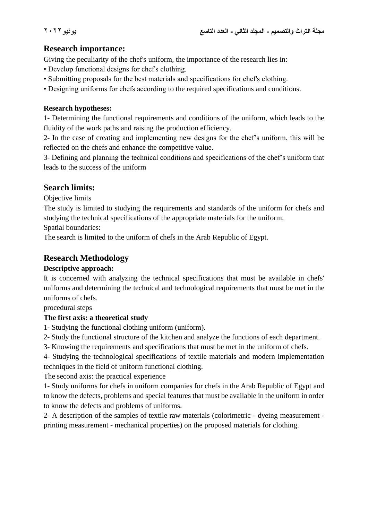# **Research importance:**

Giving the peculiarity of the chef's uniform, the importance of the research lies in:

- Develop functional designs for chef's clothing.
- Submitting proposals for the best materials and specifications for chef's clothing.
- Designing uniforms for chefs according to the required specifications and conditions.

#### **Research hypotheses:**

1- Determining the functional requirements and conditions of the uniform, which leads to the fluidity of the work paths and raising the production efficiency.

2- In the case of creating and implementing new designs for the chef's uniform, this will be reflected on the chefs and enhance the competitive value.

3- Defining and planning the technical conditions and specifications of the chef's uniform that leads to the success of the uniform

# **Search limits:**

Objective limits

The study is limited to studying the requirements and standards of the uniform for chefs and studying the technical specifications of the appropriate materials for the uniform.

Spatial boundaries:

The search is limited to the uniform of chefs in the Arab Republic of Egypt.

# **Research Methodology**

#### **Descriptive approach:**

It is concerned with analyzing the technical specifications that must be available in chefs' uniforms and determining the technical and technological requirements that must be met in the uniforms of chefs.

procedural steps

#### **The first axis: a theoretical study**

1- Studying the functional clothing uniform (uniform).

2- Study the functional structure of the kitchen and analyze the functions of each department.

3- Knowing the requirements and specifications that must be met in the uniform of chefs.

4- Studying the technological specifications of textile materials and modern implementation techniques in the field of uniform functional clothing.

The second axis: the practical experience

1- Study uniforms for chefs in uniform companies for chefs in the Arab Republic of Egypt and to know the defects, problems and special features that must be available in the uniform in order to know the defects and problems of uniforms.

2- A description of the samples of textile raw materials (colorimetric - dyeing measurement printing measurement - mechanical properties) on the proposed materials for clothing.